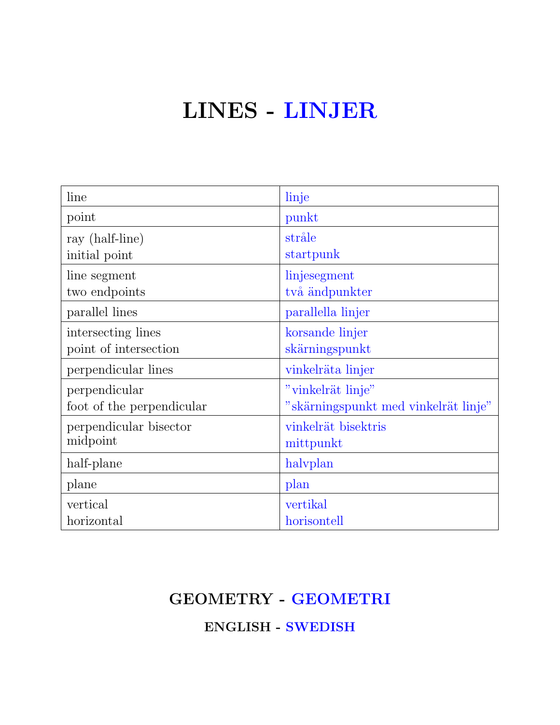# LINES - LINJER

| line                      | linje                                |
|---------------------------|--------------------------------------|
| point                     | punkt                                |
| ray (half-line)           | stråle                               |
| initial point             | startpunk                            |
| line segment              | linjesegment                         |
| two endpoints             | två ändpunkter                       |
| parallel lines            | parallella linjer                    |
| intersecting lines        | korsande linjer                      |
| point of intersection     | skärningspunkt                       |
| perpendicular lines       | vinkelräta linjer                    |
| perpendicular             | "vinkelrät linje"                    |
| foot of the perpendicular | "skärningspunkt med vinkelrät linje" |
| perpendicular bisector    | vinkelrät bisektris                  |
| midpoint                  | mittpunkt                            |
| half-plane                | halvplan                             |
| plane                     | plan                                 |
| vertical                  | vertikal                             |
| horizontal                | horisontell                          |

#### GEOMETRY - GEOMETRI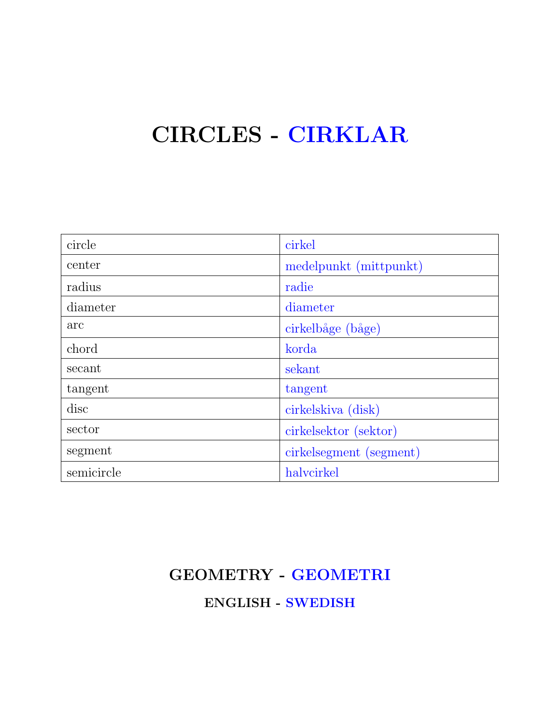## CIRCLES - CIRKLAR

| circle     | cirkel                  |
|------------|-------------------------|
| center     | medelpunkt (mittpunkt)  |
| radius     | radie                   |
| diameter   | diameter                |
| arc        | cirkelbåge (båge)       |
| chord      | korda                   |
| secant     | sekant                  |
| tangent    | tangent                 |
| disc       | cirkelskiva (disk)      |
| sector     | cirkelsektor (sektor)   |
| segment    | cirkelsegment (segment) |
| semicircle | halvcirkel              |

### GEOMETRY - GEOMETRI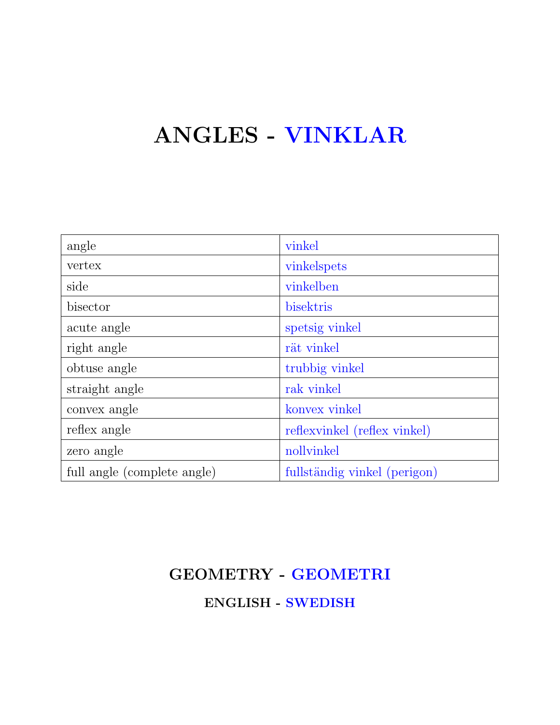## ANGLES - VINKLAR

| angle                       | vinkel                       |
|-----------------------------|------------------------------|
| vertex                      | vinkelspets                  |
| side                        | vinkelben                    |
| bisector                    | bisektris                    |
| acute angle                 | spetsig vinkel               |
| right angle                 | rät vinkel                   |
| obtuse angle                | trubbig vinkel               |
| straight angle              | rak vinkel                   |
| convex angle                | konvex vinkel                |
| reflex angle                | reflexvinkel (reflex vinkel) |
| zero angle                  | nollvinkel                   |
| full angle (complete angle) | fullständig vinkel (perigon) |

### GEOMETRY - GEOMETRI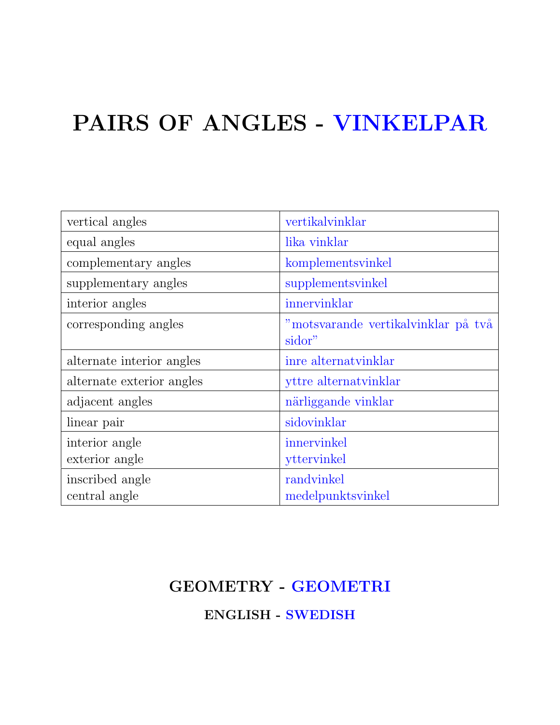# PAIRS OF ANGLES - VINKELPAR

| vertical angles           | vertikalvinklar                               |
|---------------------------|-----------------------------------------------|
| equal angles              | lika vinklar                                  |
| complementary angles      | komplementsvinkel                             |
| supplementary angles      | supplementsvinkel                             |
| interior angles           | innervinklar                                  |
| corresponding angles      | "motsvarande vertikalvinklar på två<br>sidor" |
| alternate interior angles | inre alternatvinklar                          |
| alternate exterior angles | yttre alternatvinklar                         |
| adjacent angles           | närliggande vinklar                           |
| linear pair               | sidovinklar                                   |
| interior angle            | innervinkel                                   |
| exterior angle            | yttervinkel                                   |
| inscribed angle           | randvinkel                                    |
| central angle             | medelpunktsvinkel                             |

#### GEOMETRY - GEOMETRI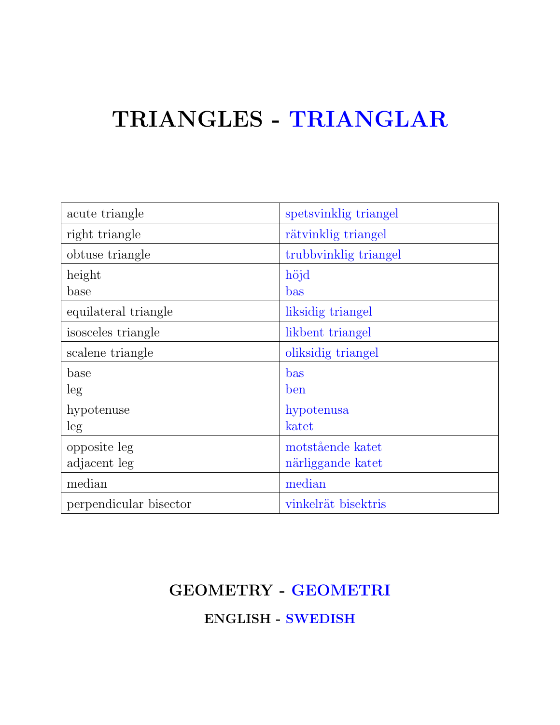## TRIANGLES - TRIANGLAR

| acute triangle         | spetsvinklig triangel |
|------------------------|-----------------------|
| right triangle         | rätvinklig triangel   |
| obtuse triangle        | trubbyinklig triangel |
| height                 | höjd                  |
| base                   | bas                   |
| equilateral triangle   | liksidig triangel     |
| isosceles triangle     | likbent triangel      |
| scalene triangle       | oliksidig triangel    |
| base                   | bas                   |
| leg                    | ben                   |
| hypotenuse             | hypotenusa            |
| leg                    | katet                 |
| opposite leg           | motstående katet      |
| adjacent leg           | närliggande katet     |
| median                 | median                |
| perpendicular bisector | vinkelrät bisektris   |

#### GEOMETRY - GEOMETRI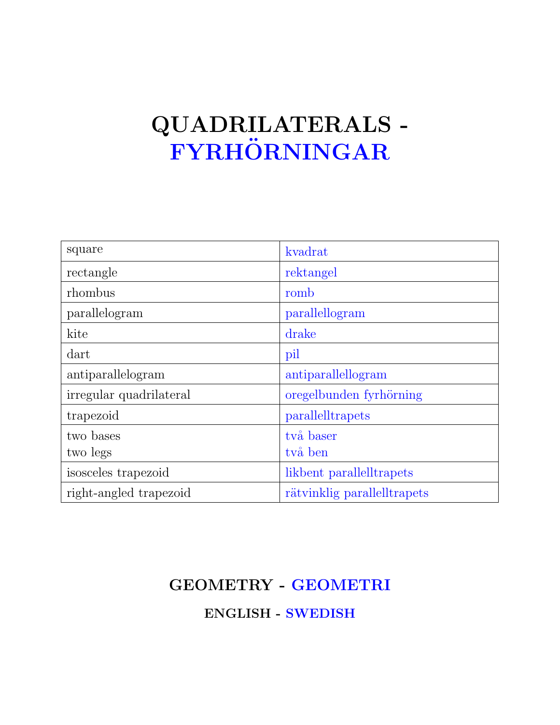## QUADRILATERALS -  ${\bf FYRHÖRNINGAR}$

| square                  | kvadrat                     |
|-------------------------|-----------------------------|
| rectangle               | rektangel                   |
| rhombus                 | romb                        |
| parallelogram           | parallellogram              |
| kite                    | drake                       |
| dart                    | pil                         |
| antiparallelogram       | antiparallellogram          |
| irregular quadrilateral | oregelbunden fyrhörning     |
| trapezoid               | parallelltrapets            |
| two bases               | två baser                   |
| two legs                | två ben                     |
| isosceles trapezoid     | likbent parallelltrapets    |
| right-angled trapezoid  | rätvinklig parallelltrapets |

#### GEOMETRY - GEOMETRI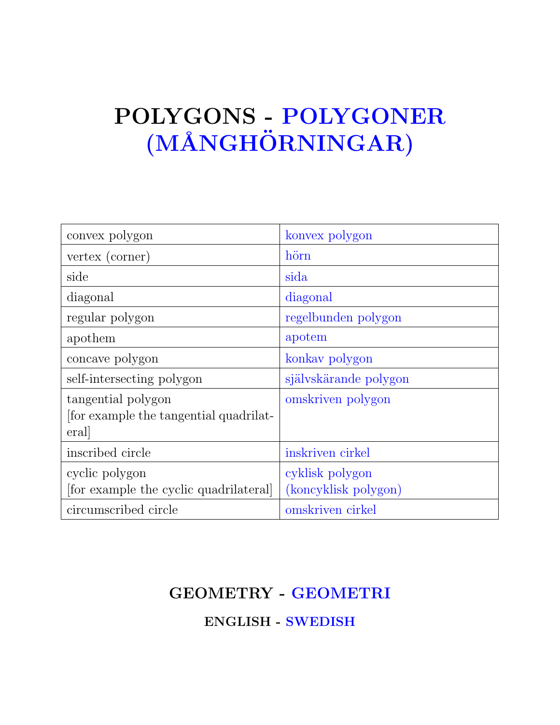# POLYGONS - POLYGONER (MÅNGHÖRNINGAR)

| convex polygon                                                      | konvex polygon                          |
|---------------------------------------------------------------------|-----------------------------------------|
| vertex (corner)                                                     | hörn                                    |
| side                                                                | sida                                    |
| diagonal                                                            | diagonal                                |
| regular polygon                                                     | regelbunden polygon                     |
| apothem                                                             | apotem                                  |
| concave polygon                                                     | konkay polygon                          |
| self-intersecting polygon                                           | självskärande polygon                   |
| tangential polygon<br>for example the tangential quadrilat-<br>eral | omskriven polygon                       |
| inscribed circle                                                    | inskriven cirkel                        |
| cyclic polygon<br>[for example the cyclic quadrilateral]            | cyklisk polygon<br>(koncyklisk polygon) |
| circumscribed circle                                                | omskriven cirkel                        |

#### GEOMETRY - GEOMETRI